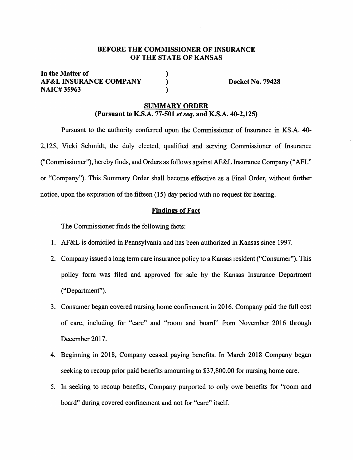#### **BEFORE THE COMMISSIONER OF INSURANCE OF THE STATE OF KANSAS**

) ) )

**In the Matter of AF&L INSURANCE COMPANY NAIC#35963** 

**Docket No. 79428** 

#### **SUMMARY ORDER (Pursuant to K.S.A. 77-501** *et seq.* **and K.S.A. 40-2,125)**

Pursuant to the authority conferred upon the Commissioner of Insurance in KS.A. 40- 2,125, Vicki Schmidt, the duly elected, qualified and serving Commissioner of Insurance ("Commissioner"), hereby finds, and Orders as follows against AF&L Insurance Company ("AFL" or "Company"). This Summary Order shall become effective as a Final Order, without further notice, upon the expiration of the fifteen (15) day period with no request for hearing.

#### **Findings of Fact**

The Commissioner finds the following facts:

- 1. AF&L is domiciled in Pennsylvania and has been authorized in Kansas since 1997.
- 2. Company issued a long term care insurance policy to a Kansas resident ("Consumer"). This policy form was filed and approved for sale by the Kansas Insurance Department ("Department").
- 3. Consumer began covered nursing home confinement in 2016. Company paid the full cost of care, including for "care" and "room and board" from November 2016 through December 2017.
- 4. Beginning in 2018, Company ceased paying benefits. In March 2018 Company began seeking to recoup prior paid benefits amounting to \$37,800.00 for nursing home care.
- 5. In seeking to recoup benefits, Company purported to only owe benefits for "room and board" during covered confinement and not for "care" itself.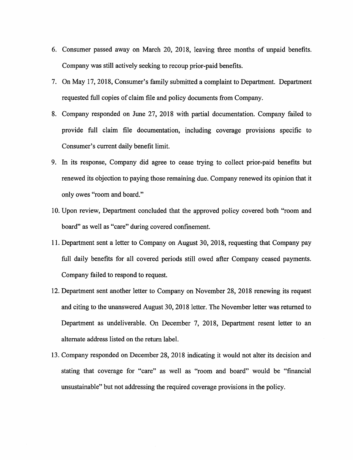- 6. Consumer passed away on March 20, 2018, leaving three months of unpaid benefits. Company was still actively seeking to recoup prior-paid benefits.
- 7. On May 17, 2018, Consumer's family submitted a complaint to Department. Department requested full copies of claim file and policy documents from Company.
- 8. Company responded on June 27, 2018 with partial documentation. Company failed to provide full claim file documentation, including coverage provisions specific to Consumer's current daily benefit limit.
- 9. In its response, Company did agree to cease trying to collect prior-paid benefits but renewed its objection to paying those remaining due. Company renewed its opinion that it only owes "room and board."
- 10. Upon review, Department concluded that the approved policy covered both "room and board" as well as "care" during covered confinement.
- 11. Department sent a letter to Company on August 30, 2018, requesting that Company pay full daily benefits for all covered periods still owed after Company ceased payments. Company failed to respond to request.
- 12. Department sent another letter to Company on November 28, 2018 renewing its request and citing to the unanswered August 30, 2018 letter. The November letter was returned to Department as undeliverable. On December 7, 2018, Department resent letter to an alternate address listed on the return label.
- 13. Company responded on December 28, 2018 indicating it would not alter its decision and stating that coverage for "care" as well as "room and board" would be "financial unsustainable" but not addressing the required coverage provisions in the policy.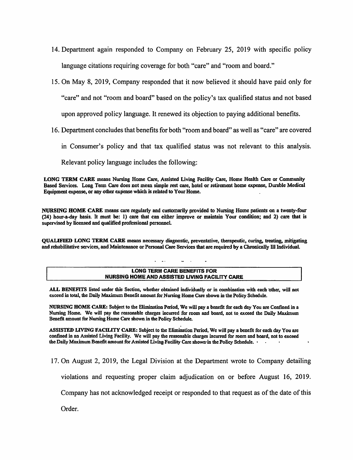- 14. Department again responded to Company on February 25, 2019 with specific policy language citations requiring coverage for both "care" and "room and board."
- 15. On May 8, 2019, Company responded that it now believed it should have paid only for

"care" and not "room and board" based on the policy's tax qualified status and not based

upon approved policy language. It renewed its objection to paying additional benefits.

- 16. Department concludes that benefits for both "room and board" as well as "care" are covered
	- in Consumer's policy and that tax qualified status was not relevant to this analysis.

Relevant policy language includes the following:

**LONG TERM CARE means Nursing Home Care, Assisted Living Facility Care, Home Health Care or Community**  Based Services. Long Term Care does not mean simple rest care, hotel or retirement home expense, Durable Medical **Equipment expense, or any other expense which js related to Your Home.** 

**NURSING HOME CARE means care regularly and customarily provided to Nursing Home patients on a twenty-four**  (24) hour-a-day basis. It must be: 1) care that can either improve or maintain Your condition; and 2) care that is **supervised by licensed and qualified professional personnel** 

**QUALIFIED LONG TERM CARE means necessary diagnostic, preventative, therapeutic, curing, treating, mitigating and .rehabilitative services, and Maintenance or Personal Care Services that are required by a Chronically m Individual** 

> **LONG TERM CARE BENEFITS FOR NURSING HOME AND ASSISTED LIVING FACILITY CARE**

ALL BENEFITS listed under this Section, whether obtained individually or in combination with each other, will not **exceed** in **total, the Daily Maximum Benefit amount for.Nursing Home Care shown** in **the Policy Schedule.** 

**NURSING HOME CARE: Subject to the Elimination Period, We will pay a benefit for each day You are Confined** in a **Nursing Home. We will pay the reasonable charges incurred for room and board, not to. exceed the Daily Maximum Benefit amount for Nursing Home Care shown** in **the Policy Schedule.** 

**ASSISTED LIVING FACILITY CARE: Subject to the Elimination Period, We wiU pay a benefit for each day You are confined** in **an Assisted Living Facility. We will pay the reasonable charges incurred for room and board, not to exceed the:Daily Mnximwn Benefit amount for Assisted Living, Facility Care shown·in the Policy Schedule.** •

17. On August 2, 2019, the Legal Division at the Department wrote to Company detailing

violations and requesting proper claim adjudication on or before August 16, 2019.

Company has not acknowledged receipt or responded to that request as of the date of this

Order.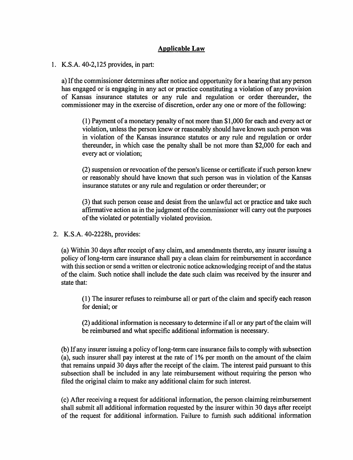# **Applicable Law**

1. K.S.A. 40-2,125 provides, in part:

a) If the commissioner determines after notice and opportunity for a hearing that any person has engaged or is engaging in any act or practice constituting a violation of any provision of Kansas insurance statutes or any rule and regulation or order thereunder, the commissioner may in the exercise of discretion, order any one or more of the following:

( 1) Payment of a monetary penalty of not more than \$1,000 for each and every act or violation, unless the person knew or reasonably should have known such person was in violation of the Kansas insurance statutes or any rule and regulation or order thereunder, in which case the penalty shall be not more than \$2,000 for each and every act or violation;

(2) suspension or revocation of the person's license or certificate if such person knew or reasonably should have known that such person was in violation of the Kansas insurance statutes or any rule and regulation or order thereunder; or

(3) that such person cease and desist from the unlawful act or practice and take such affirmative action as in the judgment of the commissioner will carry out the purposes of the violated or potentially violated provision.

2. **K.S.A.** 40-2228h, provides:

(a) Within 30 days after receipt of any claim, and amendments thereto, any insurer issuing a policy of long-term care insurance shall pay a clean claim for reimbursement in accordance with this section or send a written or electronic notice acknowledging receipt of and the status of the claim. Such notice shall include the date such claim was received by the insurer and state that:

( 1) The insurer refuses to reimburse all or part of the claim and specify each reason for denial; or

(2) additional information is necessary to determine if all or any part of the claim will be reimbursed and what specific additional information is necessary.

(b) If any insurer issuing a policy of long-term care insurance fails to comply with subsection (a), such insurer shall pay interest at the rate of 1% per month on the amount of the claim that remains unpaid 30 days after the receipt of the claim. The interest paid pursuant to this subsection shall be included in any late reimbursement without requiring the person who filed the original claim to make any additional claim for such interest.

( c) After receiving a request for additional information, the person claiming reimbursement shall submit all additional information requested by the insurer within 30 days after receipt of the request for additional information. Failure to furnish such additional information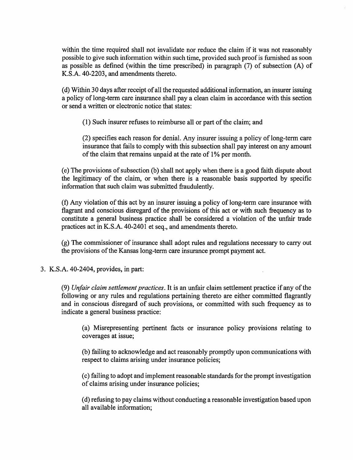within the time required shall not invalidate nor reduce the claim if it was not reasonably possible to give such information within such time, provided such proof is furnished as soon as possible as defined (within the time prescribed) in paragraph (7) of subsection (A) of K.S.A. 40-2203, and amendments thereto.

( d) Within 30 days after receipt of all the requested additional information, an insurer issuing a policy of long-term care insurance shall pay a clean claim in accordance with this section or send a written or electronic notice that states:

( 1) Such insurer refuses to reimburse all or part of the claim; and

(2) specifies each reason for denial. Any insurer issuing a policy of long-term care insurance that fails to comply with this subsection shall pay interest on any amount of the claim that remains unpaid at the rate of 1% per month.

( e) The provisions of subsection (b) shall not apply when there is a good faith dispute about the legitimacy of the claim, or when there is a reasonable basis supported by specific information that such claim was submitted fraudulently.

(f) Any violation of this act by an insurer issuing a policy of long-term care insurance with flagrant and conscious disregard of the provisions of this act or with such frequency as to constitute a general business practice shall be considered a violation of the unfair trade practices act in K.S.A. 40-2401 et seq., and amendments thereto.

(g) The commissioner of insurance shall adopt rules and regulations necessary to carry out the provisions of the Kansas long-term care insurance prompt payment act.

#### 3. K.S.A. 40-2404, provides, in part:

(9) *Unfair claim settlement practices.* It is an unfair claim settlement practice if any of the following or any rules and regulations pertaining thereto are either committed flagrantly and in conscious disregard of such provisions, or committed with such frequency as to indicate a general business practice:

(a) Misrepresenting pertinent facts or insurance policy provisions relating to coverages at issue;

(b) failing to acknowledge and act reasonably promptly upon communications with respect to claims arising under insurance policies;

( c) failing to adopt and implement reasonable standards for the prompt investigation of claims arising under insurance policies;

( d) refusing to pay claims without conducting a reasonable investigation based upon all available information;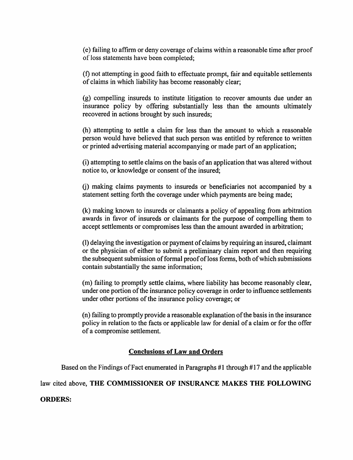( e) failing to affirm or deny coverage of claims within a reasonable time after proof of loss statements have been completed;

(t) not attempting in good faith to effectuate prompt, fair and equitable settlements of claims in which liability has become reasonably clear;

(g) compelling insureds to institute litigation to recover amounts due under an insurance policy by offering substantially less than the amounts ultimately recovered in actions brought by such insureds;

(h) attempting to settle a claim for less than the amount to which a reasonable person would have believed that such person was entitled by reference to written or printed advertising material accompanying or made part of an application;

(i) attempting to settle claims on the basis of an application that was altered without notice to, or knowledge or consent of the insured;

G) making claims payments to insureds or beneficiaries not accompanied by a statement setting forth the coverage under which payments are being made;

(k) making known to insureds or claimants a policy of appealing from arbitration awards in favor of insureds or claimants for the purpose of compelling them to accept settlements or compromises less than the amount awarded in arbitration;

(I) delaying the investigation or payment of claims by requiring an insured, claimant or the physician of either to submit a preliminary claim report and then requiring the subsequent submission of formal proof of loss forms, both of which submissions contain substantially the same information;

(m) failing to promptly settle claims, where liability has become reasonably clear, under one portion of the insurance policy coverage in order to influence settlements under other portions of the insurance policy coverage; or

(n) failing to promptly provide a reasonable explanation of the basis in the insurance policy in relation to the facts or applicable law for denial of a claim or for the offer of a compromise settlement.

# **Conclusions of Law and Orders**

Based on the Findings of Fact enumerated in Paragraphs #1 through #17 and the applicable

# law cited above, **THE COMMISSIONER OF INSURANCE MAKES THE FOLLOWING**

# **ORDERS:**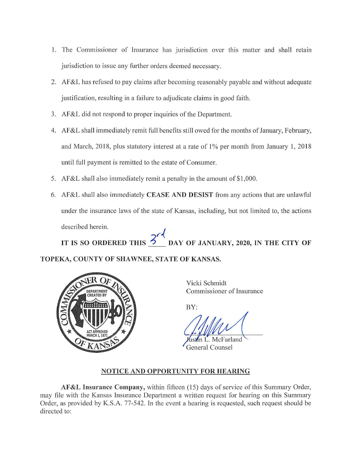- 1. The Commissioner of Insurance has jurisdiction over this matter and shall retain jurisdiction to issue any further orders deemed necessary.
- 2. AF&L has refused to pay claims after becoming reasonably payable and without adequate justification, resulting in a failure to adjudicate claims in good faith.
- 3. AF&L did not respond to proper inquiries of the Department.
- 4. AF&L shall immediately remit full benefits still owed for the months of January, February, and March, 2018, plus statutory interest at a rate of 1% per month from January 1, 2018 until full payment is remitted to the estate of Consumer.
- 5. AF&L shall also immediately remit a penalty in the amount of  $$1,000$ .
- 6. AF&L shall also immediately **CEASE AND DESIST** from any actions that are unlawful under the insurance laws of the state of Kansas, including, but not limited to, the actions described herein.

IT IS SO ORDERED THIS  $3^{\prime4}$  DAY OF JANUARY, 2020, IN THE CITY OF

**TOPEKA, COUNTY OF SHAWNEE, STATE OF KANSAS.** 



Vicki Schmidt Commissioner of Insurance

BY:

In L. McFarland General Counsel

# **NOTICE AND OPPORTUNITY FOR HEARING**

AF&L Insurance Company, within fifteen (15) days of service of this Summary Order, may file with the Kansas Insurance Department a written request for hearing on this Summary Order, as provided by K.S.A. 77-542. In the event a hearing is requested, such request should be directed to: